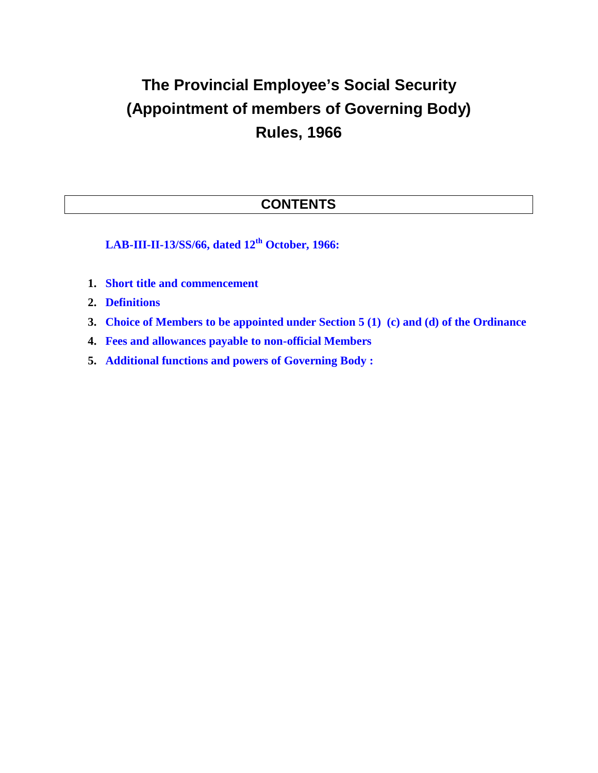## **The Provincial Employee's Social Security (Appointment of members of Governing Body) Rules, 1966**

## **CONTENTS**

**LAB-III-II-13/SS/66, dated 12th October, 1966:**

- **1. Short title and commencement**
- **2. Definitions**
- **3. Choice of Members to be appointed under Section 5 (1) (c) and (d) of the Ordinance**
- **4. Fees and allowances payable to non-official Members**
- **5. Additional functions and powers of Governing Body :**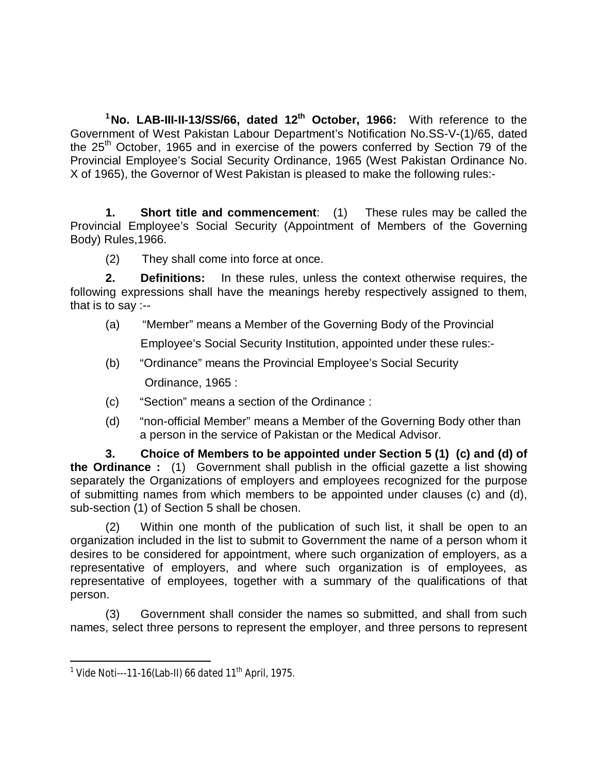**<sup>1</sup>No. LAB-III-II-13/SS/66, dated 12th October, 1966:** With reference to the Government of West Pakistan Labour Department's Notification No.SS-V-(1)/65, dated the 25<sup>th</sup> October, 1965 and in exercise of the powers conferred by Section 79 of the Provincial Employee's Social Security Ordinance, 1965 (West Pakistan Ordinance No. X of 1965), the Governor of West Pakistan is pleased to make the following rules:-

**1. Short title and commencement**: (1) These rules may be called the Provincial Employee's Social Security (Appointment of Members of the Governing Body) Rules,1966.

(2) They shall come into force at once.

**2. Definitions:** In these rules, unless the context otherwise requires, the following expressions shall have the meanings hereby respectively assigned to them, that is to say :--

- (a) "Member" means a Member of the Governing Body of the Provincial Employee's Social Security Institution, appointed under these rules:-
- (b) "Ordinance" means the Provincial Employee's Social Security Ordinance, 1965 :
- (c) "Section" means a section of the Ordinance :
- (d) "non-official Member" means a Member of the Governing Body other than a person in the service of Pakistan or the Medical Advisor.

**3. Choice of Members to be appointed under Section 5 (1) (c) and (d) of the Ordinance :** (1)Government shall publish in the official gazette a list showing separately the Organizations of employers and employees recognized for the purpose of submitting names from which members to be appointed under clauses (c) and (d), sub-section (1) of Section 5 shall be chosen.

(2) Within one month of the publication of such list, it shall be open to an organization included in the list to submit to Government the name of a person whom it desires to be considered for appointment, where such organization of employers, as a representative of employers, and where such organization is of employees, as representative of employees, together with a summary of the qualifications of that person.

(3) Government shall consider the names so submitted, and shall from such names, select three persons to represent the employer, and three persons to represent

 1 Vide Noti---11-16(Lab-II) 66 dated 11th April, 1975.